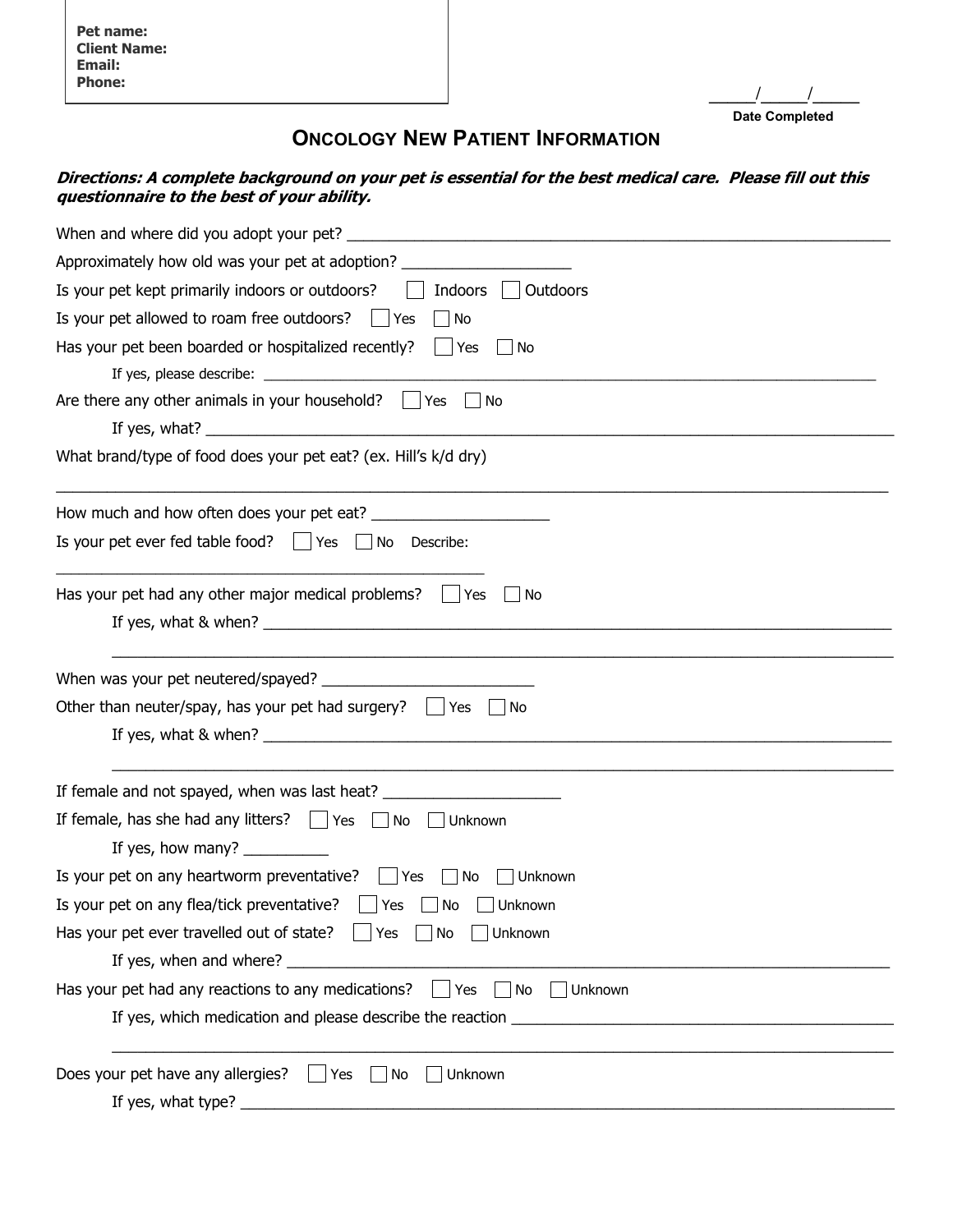**Pet name: Client Name: Email: Phone:** 

**\_\_\_\_\_/\_\_\_\_\_/\_\_\_\_\_ Date Completed**

## **ONCOLOGY NEW PATIENT INFORMATION**

## **Directions: A complete background on your pet is essential for the best medical care. Please fill out this questionnaire to the best of your ability.**

| Approximately how old was your pet at adoption? ________________________________                                                                                                                                                                                                          |  |  |  |  |
|-------------------------------------------------------------------------------------------------------------------------------------------------------------------------------------------------------------------------------------------------------------------------------------------|--|--|--|--|
| Indoors  <br>Is your pet kept primarily indoors or outdoors?<br>Outdoors                                                                                                                                                                                                                  |  |  |  |  |
| Is your pet allowed to roam free outdoors?<br>No<br>Yes                                                                                                                                                                                                                                   |  |  |  |  |
| Has your pet been boarded or hospitalized recently? $\parallel$ Yes<br>  No                                                                                                                                                                                                               |  |  |  |  |
|                                                                                                                                                                                                                                                                                           |  |  |  |  |
| Are there any other animals in your household? $\Box$ Yes $\Box$<br>. No                                                                                                                                                                                                                  |  |  |  |  |
| If yes, what? $\frac{1}{2}$ is the set of the set of the set of the set of the set of the set of the set of the set of the set of the set of the set of the set of the set of the set of the set of the set of the set of the set                                                         |  |  |  |  |
| What brand/type of food does your pet eat? (ex. Hill's k/d dry)                                                                                                                                                                                                                           |  |  |  |  |
|                                                                                                                                                                                                                                                                                           |  |  |  |  |
| Is your pet ever fed table food? $\Box$ Yes $\Box$ No Describe:                                                                                                                                                                                                                           |  |  |  |  |
| Has your pet had any other major medical problems? $\Box$ Yes<br>No                                                                                                                                                                                                                       |  |  |  |  |
| If yes, what & when? The same state of the state of the state of the state of the state of the state of the state of the state of the state of the state of the state of the state of the state of the state of the state of t                                                            |  |  |  |  |
|                                                                                                                                                                                                                                                                                           |  |  |  |  |
| Other than neuter/spay, has your pet had surgery? $\ $   Yes<br>No                                                                                                                                                                                                                        |  |  |  |  |
| If yes, what & when? $\frac{1}{2}$ and $\frac{1}{2}$ and $\frac{1}{2}$ and $\frac{1}{2}$ and $\frac{1}{2}$ and $\frac{1}{2}$ and $\frac{1}{2}$ and $\frac{1}{2}$ and $\frac{1}{2}$ and $\frac{1}{2}$ and $\frac{1}{2}$ and $\frac{1}{2}$ and $\frac{1}{2}$ and $\frac{1}{2}$ and $\frac{$ |  |  |  |  |
|                                                                                                                                                                                                                                                                                           |  |  |  |  |
| If female and not spayed, when was last heat? __________________________________                                                                                                                                                                                                          |  |  |  |  |
| If female, has she had any litters? $\Box$ Yes $\Box$ No<br>  Unknown                                                                                                                                                                                                                     |  |  |  |  |
| If yes, how many? $\sqrt{ }$                                                                                                                                                                                                                                                              |  |  |  |  |
| Is your pet on any heartworm preventative?<br>Unknown<br>No<br>$ $ Yes                                                                                                                                                                                                                    |  |  |  |  |
| Is your pet on any flea/tick preventative? $\vert \vert$ Yes<br>No<br>Unknown                                                                                                                                                                                                             |  |  |  |  |
| Has your pet ever travelled out of state? $\Box$ Yes $\Box$ No $\Box$ Unknown                                                                                                                                                                                                             |  |  |  |  |
|                                                                                                                                                                                                                                                                                           |  |  |  |  |
| Has your pet had any reactions to any medications?<br>    Yes     No    <br>Unknown                                                                                                                                                                                                       |  |  |  |  |
|                                                                                                                                                                                                                                                                                           |  |  |  |  |
|                                                                                                                                                                                                                                                                                           |  |  |  |  |
| Does your pet have any allergies?<br>Unknown<br>Yes<br>No<br>$\mathbb{R}^n$                                                                                                                                                                                                               |  |  |  |  |
| If yes, what type?                                                                                                                                                                                                                                                                        |  |  |  |  |